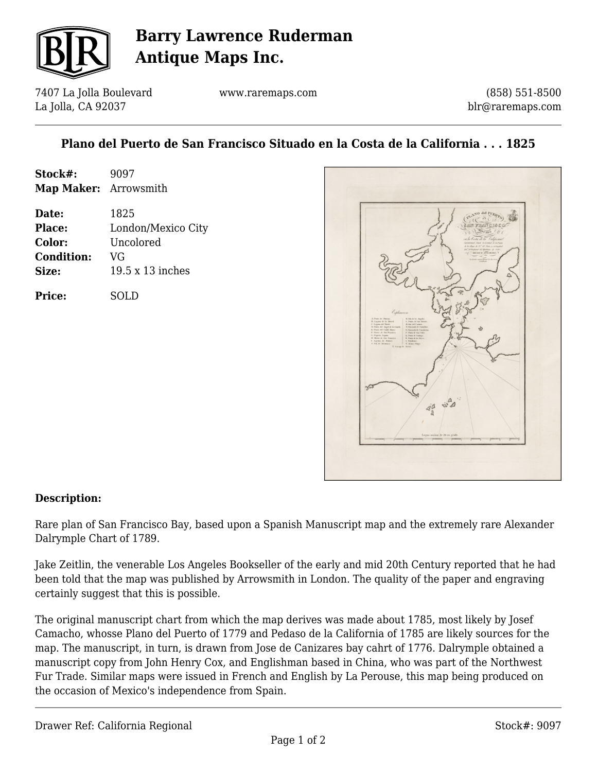

# **Barry Lawrence Ruderman Antique Maps Inc.**

7407 La Jolla Boulevard La Jolla, CA 92037

www.raremaps.com

(858) 551-8500 blr@raremaps.com

## **Plano del Puerto de San Francisco Situado en la Costa de la California . . . 1825**

| Stock#:<br>Map Maker: Arrowsmith | 9097               |
|----------------------------------|--------------------|
|                                  |                    |
| Place:                           | London/Mexico City |
| Color:                           | Uncolored          |
| <b>Condition:</b>                | VG                 |
| Size:                            | 19.5 x 13 inches   |
| <b>Price:</b>                    | SOLD               |



#### **Description:**

Rare plan of San Francisco Bay, based upon a Spanish Manuscript map and the extremely rare Alexander Dalrymple Chart of 1789.

Jake Zeitlin, the venerable Los Angeles Bookseller of the early and mid 20th Century reported that he had been told that the map was published by Arrowsmith in London. The quality of the paper and engraving certainly suggest that this is possible.

The original manuscript chart from which the map derives was made about 1785, most likely by Josef Camacho, whosse Plano del Puerto of 1779 and Pedaso de la California of 1785 are likely sources for the map. The manuscript, in turn, is drawn from Jose de Canizares bay cahrt of 1776. Dalrymple obtained a manuscript copy from John Henry Cox, and Englishman based in China, who was part of the Northwest Fur Trade. Similar maps were issued in French and English by La Perouse, this map being produced on the occasion of Mexico's independence from Spain.